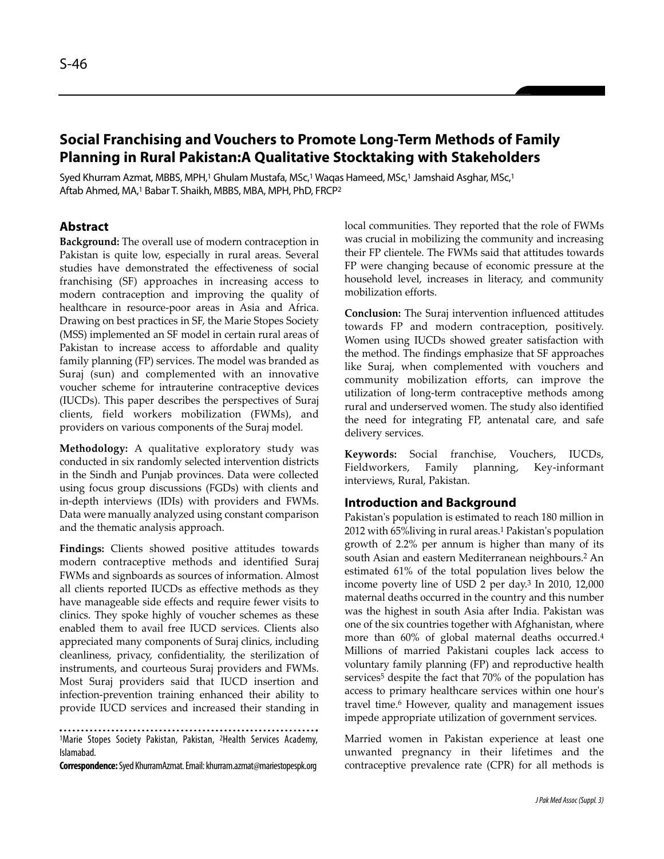# **Social Franchising and Vouchers to Promote Long-Term Methods of Family Planning in Rural Pakistan:A Qualitative Stocktaking with Stakeholders**

Syed Khurram Azmat, MBBS, MPH,<sup>1</sup> Ghulam Mustafa, MSc,<sup>1</sup> Waqas Hameed, MSc,<sup>1</sup> Jamshaid Asghar, MSc,<sup>1</sup> Aftab Ahmed, MA,<sup>1</sup> Babar T. Shaikh, MBBS, MBA, MPH, PhD, FRCP<sup>2</sup>

### **Abstract**

**Background:** The overall use of modern contraception in Pakistan is quite low, especially in rural areas. Several studies have demonstrated the effectiveness of social franchising (SF) approaches in increasing access to modern contraception and improving the quality of healthcare in resource-poor areas in Asia and Africa. Drawing on best practices in SF, the Marie Stopes Society (MSS) implemented an SF model in certain rural areas of Pakistan to increase access to affordable and quality family planning (FP) services. The model was branded as Suraj (sun) and complemented with an innovative voucher scheme for intrauterine contraceptive devices (IUCDs). This paper describes the perspectives of Suraj clients, field workers mobilization (FWMs), and providers on various components of the Suraj model.

**Methodology:** A qualitative exploratory study was conducted in six randomly selected intervention districts in the Sindh and Punjab provinces. Data were collected using focus group discussions (FGDs) with clients and in-depth interviews (IDIs) with providers and FWMs. Data were manually analyzed using constant comparison and the thematic analysis approach.

**Findings:** Clients showed positive attitudes towards modern contraceptive methods and identified Suraj FWMs and signboards as sources of information. Almost all clients reported IUCDs as effective methods as they have manageable side effects and require fewer visits to clinics. They spoke highly of voucher schemes as these enabled them to avail free IUCD services. Clients also appreciated many components of Suraj clinics, including cleanliness, privacy, confidentiality, the sterilization of instruments, and courteous Suraj providers and FWMs. Most Suraj providers said that IUCD insertion and infection-prevention training enhanced their ability to provide IUCD services and increased their standing in

1Marie Stopes Society Pakistan, Pakistan, <sup>2</sup>Health Services Academy, Islamabad.

**Correspondence:**Syed KhurramAzmat. Email: khurram.azmat@mariestopespk.org

local communities. They reported that the role of FWMs was crucial in mobilizing the community and increasing their FP clientele. The FWMs said that attitudes towards FP were changing because of economic pressure at the household level, increases in literacy, and community mobilization efforts.

**Conclusion:** The Suraj intervention influenced attitudes towards FP and modern contraception, positively. Women using IUCDs showed greater satisfaction with the method. The findings emphasize that SF approaches like Suraj, when complemented with vouchers and community mobilization efforts, can improve the utilization of long-term contraceptive methods among rural and underserved women. The study also identified the need for integrating FP, antenatal care, and safe delivery services.

**Keywords:** Social franchise, Vouchers, IUCDs, Fieldworkers, Family planning, Key-informant interviews, Rural, Pakistan.

#### **Introduction and Background**

Pakistan's population is estimated to reach 180 million in 2012 with 65%living in rural areas.<sup>1</sup> Pakistan's population growth of 2.2% per annum is higher than many of its south Asian and eastern Mediterranean neighbours.<sup>2</sup> An estimated 61% of the total population lives below the income poverty line of USD 2 per day.<sup>3</sup> In 2010, 12,000 maternal deaths occurred in the country and this number was the highest in south Asia after India. Pakistan was one of the six countries together with Afghanistan, where more than 60% of global maternal deaths occurred.<sup>4</sup> Millions of married Pakistani couples lack access to voluntary family planning (FP) and reproductive health services<sup>5</sup> despite the fact that 70% of the population has access to primary healthcare services within one hour's travel time.<sup>6</sup> However, quality and management issues impede appropriate utilization of government services.

Married women in Pakistan experience at least one unwanted pregnancy in their lifetimes and the contraceptive prevalence rate (CPR) for all methods is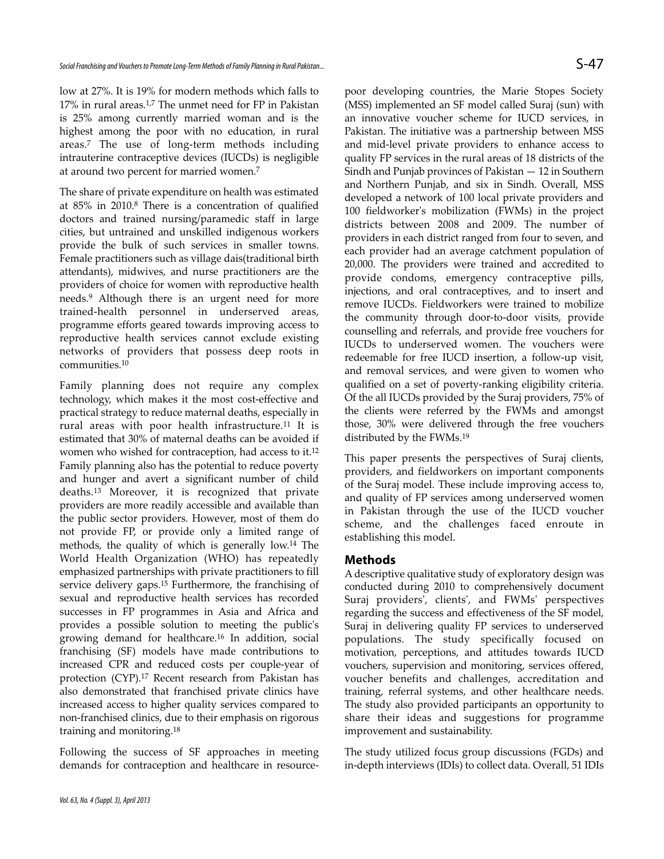low at 27%. It is 19% for modern methods which falls to 17% in rural areas.1,7 The unmet need for FP in Pakistan is 25% among currently married woman and is the highest among the poor with no education, in rural areas.<sup>7</sup> The use of long-term methods including intrauterine contraceptive devices (IUCDs) is negligible at around two percent for married women.<sup>7</sup>

The share of private expenditure on health was estimated at 85% in 2010.<sup>8</sup> There is a concentration of qualified doctors and trained nursing/paramedic staff in large cities, but untrained and unskilled indigenous workers provide the bulk of such services in smaller towns. Female practitioners such as village dais(traditional birth attendants), midwives, and nurse practitioners are the providers of choice for women with reproductive health needs.<sup>9</sup> Although there is an urgent need for more trained-health personnel in underserved areas, programme efforts geared towards improving access to reproductive health services cannot exclude existing networks of providers that possess deep roots in communities.<sup>10</sup>

Family planning does not require any complex technology, which makes it the most cost-effective and practical strategy to reduce maternal deaths, especially in rural areas with poor health infrastructure.<sup>11</sup> It is estimated that 30% of maternal deaths can be avoided if women who wished for contraception, had access to it.<sup>12</sup> Family planning also has the potential to reduce poverty and hunger and avert a significant number of child deaths.<sup>13</sup> Moreover, it is recognized that private providers are more readily accessible and available than the public sector providers. However, most of them do not provide FP, or provide only a limited range of methods, the quality of which is generally low.<sup>14</sup> The World Health Organization (WHO) has repeatedly emphasized partnerships with private practitioners to fill service delivery gaps.<sup>15</sup> Furthermore, the franchising of sexual and reproductive health services has recorded successes in FP programmes in Asia and Africa and provides a possible solution to meeting the public's growing demand for healthcare.<sup>16</sup> In addition, social franchising (SF) models have made contributions to increased CPR and reduced costs per couple-year of protection (CYP).<sup>17</sup> Recent research from Pakistan has also demonstrated that franchised private clinics have increased access to higher quality services compared to non-franchised clinics, due to their emphasis on rigorous training and monitoring.<sup>18</sup>

Following the success of SF approaches in meeting demands for contraception and healthcare in resource-

poor developing countries, the Marie Stopes Society (MSS) implemented an SF model called Suraj (sun) with an innovative voucher scheme for IUCD services, in Pakistan. The initiative was a partnership between MSS and mid-level private providers to enhance access to quality FP services in the rural areas of 18 districts of the Sindh and Punjab provinces of Pakistan — 12 in Southern and Northern Punjab, and six in Sindh. Overall, MSS developed a network of 100 local private providers and 100 fieldworker's mobilization (FWMs) in the project districts between 2008 and 2009. The number of providers in each district ranged from four to seven, and each provider had an average catchment population of 20,000. The providers were trained and accredited to provide condoms, emergency contraceptive pills, injections, and oral contraceptives, and to insert and remove IUCDs. Fieldworkers were trained to mobilize the community through door-to-door visits, provide counselling and referrals, and provide free vouchers for IUCDs to underserved women. The vouchers were redeemable for free IUCD insertion, a follow-up visit, and removal services, and were given to women who qualified on a set of poverty-ranking eligibility criteria. Of the all IUCDs provided by the Suraj providers, 75% of the clients were referred by the FWMs and amongst those, 30% were delivered through the free vouchers distributed by the FWMs.<sup>19</sup>

This paper presents the perspectives of Suraj clients, providers, and fieldworkers on important components of the Suraj model. These include improving access to, and quality of FP services among underserved women in Pakistan through the use of the IUCD voucher scheme, and the challenges faced enroute in establishing this model.

#### **Methods**

A descriptive qualitative study of exploratory design was conducted during 2010 to comprehensively document Suraj providers', clients', and FWMs' perspectives regarding the success and effectiveness of the SF model, Suraj in delivering quality FP services to underserved populations. The study specifically focused on motivation, perceptions, and attitudes towards IUCD vouchers, supervision and monitoring, services offered, voucher benefits and challenges, accreditation and training, referral systems, and other healthcare needs. The study also provided participants an opportunity to share their ideas and suggestions for programme improvement and sustainability.

The study utilized focus group discussions (FGDs) and in-depth interviews (IDIs) to collect data. Overall, 51 IDIs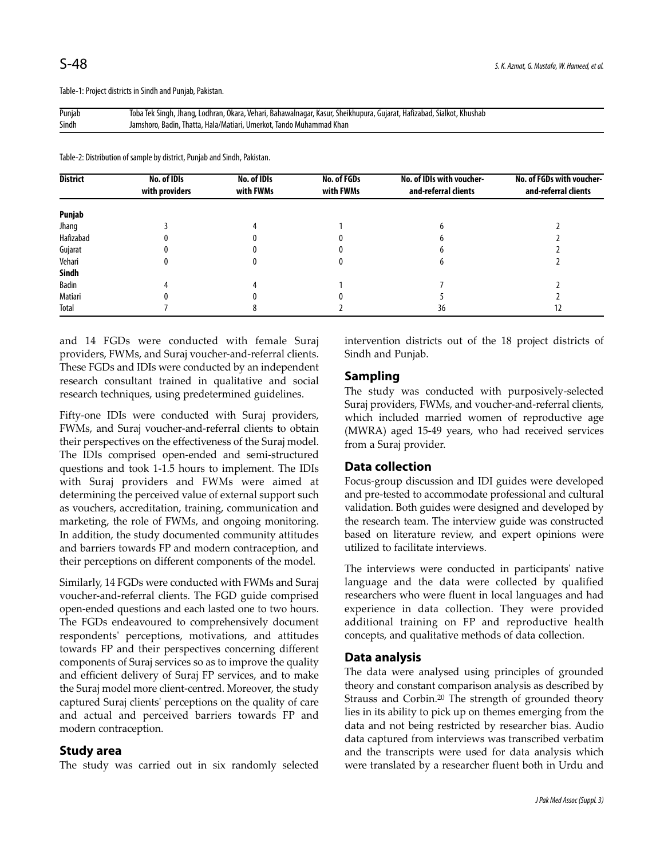Table-1: Project districts in Sindh and Punjab, Pakistan.

Punjab Toba Tek Singh, Jhang, Lodhran, Okara, Vehari, Bahawalnagar, Kasur, Sheikhupura, Gujarat, Hafizabad, Sialkot, Khushab Sindh Jamshoro, Badin, Thatta, Hala/Matiari, Umerkot, Tando Muhammad Khan

Table-2: Distribution of sample by district, Punjab and Sindh, Pakistan.

| <b>District</b> | No. of IDIs<br>with providers | No. of IDIs<br>with FWMs | No. of FGDs<br>with FWMs | No. of IDIs with voucher-<br>and-referral clients | No. of FGDs with voucher-<br>and-referral clients |
|-----------------|-------------------------------|--------------------------|--------------------------|---------------------------------------------------|---------------------------------------------------|
|                 |                               |                          |                          |                                                   |                                                   |
| Punjab          |                               |                          |                          |                                                   |                                                   |
| Jhang           |                               |                          |                          |                                                   |                                                   |
| Hafizabad       |                               |                          |                          |                                                   |                                                   |
| Gujarat         |                               |                          |                          |                                                   |                                                   |
| Vehari          |                               |                          |                          |                                                   |                                                   |
| Sindh           |                               |                          |                          |                                                   |                                                   |
| Badin           |                               |                          |                          |                                                   |                                                   |
| Matiari         |                               |                          |                          |                                                   |                                                   |
| Total           |                               |                          |                          | 36                                                | 12                                                |

and 14 FGDs were conducted with female Suraj providers, FWMs, and Suraj voucher-and-referral clients. These FGDs and IDIs were conducted by an independent research consultant trained in qualitative and social research techniques, using predetermined guidelines.

Fifty-one IDIs were conducted with Suraj providers, FWMs, and Suraj voucher-and-referral clients to obtain their perspectives on the effectiveness of the Suraj model. The IDIs comprised open-ended and semi-structured questions and took 1-1.5 hours to implement. The IDIs with Suraj providers and FWMs were aimed at determining the perceived value of external support such as vouchers, accreditation, training, communication and marketing, the role of FWMs, and ongoing monitoring. In addition, the study documented community attitudes and barriers towards FP and modern contraception, and their perceptions on different components of the model.

Similarly, 14 FGDs were conducted with FWMs and Suraj voucher-and-referral clients. The FGD guide comprised open-ended questions and each lasted one to two hours. The FGDs endeavoured to comprehensively document respondents' perceptions, motivations, and attitudes towards FP and their perspectives concerning different components of Suraj services so as to improve the quality and efficient delivery of Suraj FP services, and to make the Suraj model more client-centred. Moreover, the study captured Suraj clients' perceptions on the quality of care and actual and perceived barriers towards FP and modern contraception.

#### **Study area**

The study was carried out in six randomly selected

intervention districts out of the 18 project districts of Sindh and Punjab.

#### **Sampling**

The study was conducted with purposively-selected Suraj providers, FWMs, and voucher-and-referral clients, which included married women of reproductive age (MWRA) aged 15-49 years, who had received services from a Suraj provider.

#### **Data collection**

Focus-group discussion and IDI guides were developed and pre-tested to accommodate professional and cultural validation. Both guides were designed and developed by the research team. The interview guide was constructed based on literature review, and expert opinions were utilized to facilitate interviews.

The interviews were conducted in participants' native language and the data were collected by qualified researchers who were fluent in local languages and had experience in data collection. They were provided additional training on FP and reproductive health concepts, and qualitative methods of data collection.

#### **Data analysis**

The data were analysed using principles of grounded theory and constant comparison analysis as described by Strauss and Corbin.<sup>20</sup> The strength of grounded theory lies in its ability to pick up on themes emerging from the data and not being restricted by researcher bias. Audio data captured from interviews was transcribed verbatim and the transcripts were used for data analysis which were translated by a researcher fluent both in Urdu and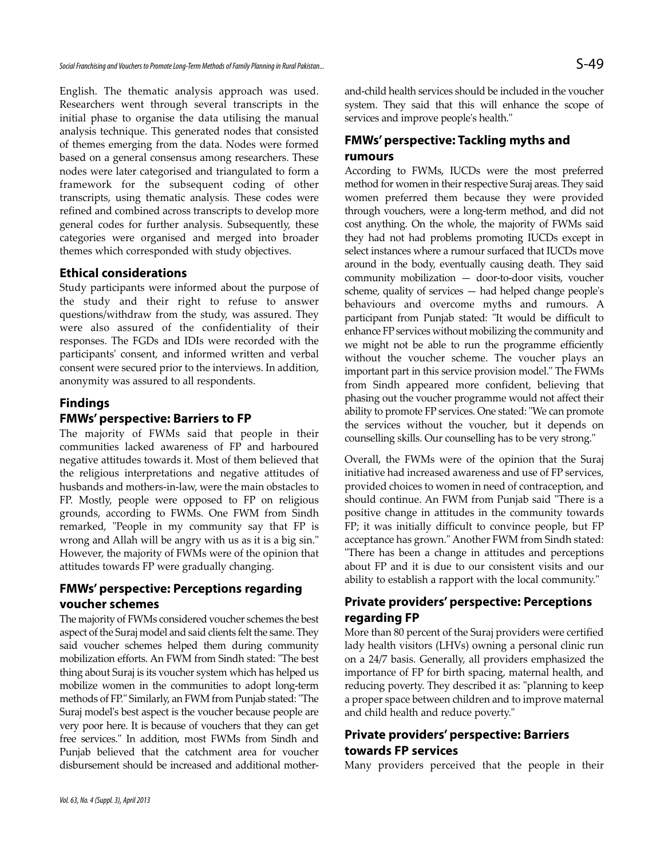English. The thematic analysis approach was used. Researchers went through several transcripts in the initial phase to organise the data utilising the manual analysis technique. This generated nodes that consisted of themes emerging from the data. Nodes were formed based on a general consensus among researchers. These nodes were later categorised and triangulated to form a framework for the subsequent coding of other transcripts, using thematic analysis. These codes were refined and combined across transcripts to develop more general codes for further analysis. Subsequently, these categories were organised and merged into broader themes which corresponded with study objectives.

#### **Ethical considerations**

Study participants were informed about the purpose of the study and their right to refuse to answer questions/withdraw from the study, was assured. They were also assured of the confidentiality of their responses. The FGDs and IDIs were recorded with the participants' consent, and informed written and verbal consent were secured prior to the interviews. In addition, anonymity was assured to all respondents.

#### **Findings**

### **FMWs' perspective: Barriers to FP**

The majority of FWMs said that people in their communities lacked awareness of FP and harboured negative attitudes towards it. Most of them believed that the religious interpretations and negative attitudes of husbands and mothers-in-law, were the main obstacles to FP. Mostly, people were opposed to FP on religious grounds, according to FWMs. One FWM from Sindh remarked, "People in my community say that FP is wrong and Allah will be angry with us as it is a big sin." However, the majority of FWMs were of the opinion that attitudes towards FP were gradually changing.

### **FMWs' perspective: Perceptions regarding voucher schemes**

The majority of FWMs considered voucher schemes the best aspect of the Suraj model and said clients felt the same. They said voucher schemes helped them during community mobilization efforts. An FWM from Sindh stated: "The best thing about Suraj is its voucher system which has helped us mobilize women in the communities to adopt long-term methods of FP." Similarly, an FWM from Punjab stated: "The Suraj model's best aspect is the voucher because people are very poor here. It is because of vouchers that they can get free services." In addition, most FWMs from Sindh and Punjab believed that the catchment area for voucher disbursement should be increased and additional mother-

# **FMWs' perspective: Tackling myths and rumours**

According to FWMs, IUCDs were the most preferred method for women in their respective Suraj areas. They said women preferred them because they were provided through vouchers, were a long-term method, and did not cost anything. On the whole, the majority of FWMs said they had not had problems promoting IUCDs except in select instances where a rumour surfaced that IUCDs move around in the body, eventually causing death. They said community mobilization — door-to-door visits, voucher scheme, quality of services — had helped change people's behaviours and overcome myths and rumours. A participant from Punjab stated: "It would be difficult to enhance FP services without mobilizing the community and we might not be able to run the programme efficiently without the voucher scheme. The voucher plays an important part in this service provision model." The FWMs from Sindh appeared more confident, believing that phasing out the voucher programme would not affect their ability to promote FP services. One stated: "We can promote the services without the voucher, but it depends on counselling skills. Our counselling has to be very strong."

Overall, the FWMs were of the opinion that the Suraj initiative had increased awareness and use of FP services, provided choices to women in need of contraception, and should continue. An FWM from Punjab said "There is a positive change in attitudes in the community towards FP; it was initially difficult to convince people, but FP acceptance has grown." Another FWM from Sindh stated: "There has been a change in attitudes and perceptions about FP and it is due to our consistent visits and our ability to establish a rapport with the local community."

# **Private providers' perspective: Perceptions regarding FP**

More than 80 percent of the Suraj providers were certified lady health visitors (LHVs) owning a personal clinic run on a 24/7 basis. Generally, all providers emphasized the importance of FP for birth spacing, maternal health, and reducing poverty. They described it as: "planning to keep a proper space between children and to improve maternal and child health and reduce poverty."

### **Private providers' perspective: Barriers towards FP services**

Many providers perceived that the people in their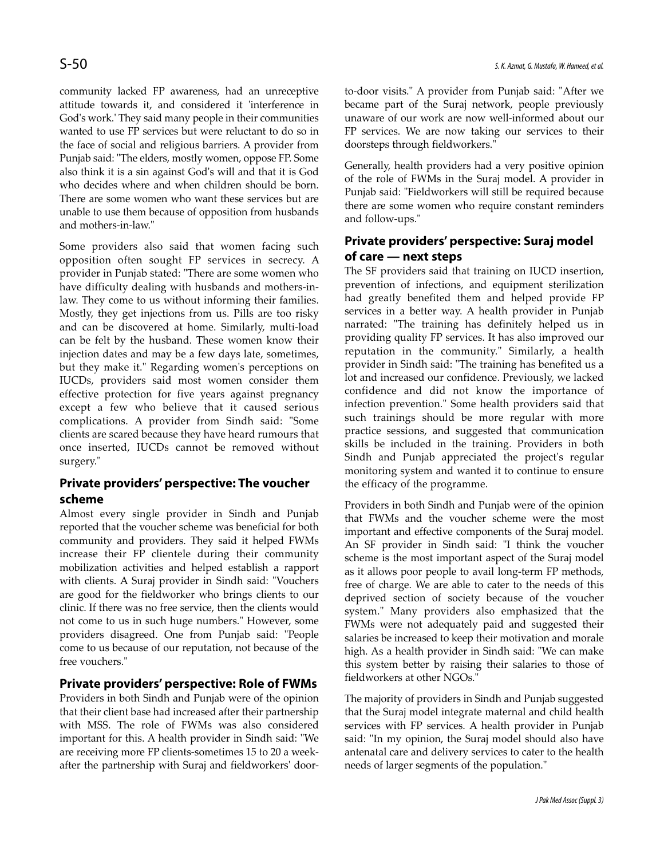community lacked FP awareness, had an unreceptive attitude towards it, and considered it 'interference in God's work.' They said many people in their communities wanted to use FP services but were reluctant to do so in the face of social and religious barriers. A provider from Punjab said: "The elders, mostly women, oppose FP. Some also think it is a sin against God's will and that it is God who decides where and when children should be born. There are some women who want these services but are unable to use them because of opposition from husbands and mothers-in-law."

Some providers also said that women facing such opposition often sought FP services in secrecy. A provider in Punjab stated: "There are some women who have difficulty dealing with husbands and mothers-inlaw. They come to us without informing their families. Mostly, they get injections from us. Pills are too risky and can be discovered at home. Similarly, multi-load can be felt by the husband. These women know their injection dates and may be a few days late, sometimes, but they make it." Regarding women's perceptions on IUCDs, providers said most women consider them effective protection for five years against pregnancy except a few who believe that it caused serious complications. A provider from Sindh said: "Some clients are scared because they have heard rumours that once inserted, IUCDs cannot be removed without surgery."

# **Private providers' perspective: The voucher scheme**

Almost every single provider in Sindh and Punjab reported that the voucher scheme was beneficial for both community and providers. They said it helped FWMs increase their FP clientele during their community mobilization activities and helped establish a rapport with clients. A Suraj provider in Sindh said: "Vouchers are good for the fieldworker who brings clients to our clinic. If there was no free service, then the clients would not come to us in such huge numbers." However, some providers disagreed. One from Punjab said: "People come to us because of our reputation, not because of the free vouchers."

### **Private providers' perspective: Role of FWMs**

Providers in both Sindh and Punjab were of the opinion that their client base had increased after their partnership with MSS. The role of FWMs was also considered important for this. A health provider in Sindh said: "We are receiving more FP clients-sometimes 15 to 20 a weekafter the partnership with Suraj and fieldworkers' doorto-door visits." A provider from Punjab said: "After we became part of the Suraj network, people previously unaware of our work are now well-informed about our FP services. We are now taking our services to their doorsteps through fieldworkers."

Generally, health providers had a very positive opinion of the role of FWMs in the Suraj model. A provider in Punjab said: "Fieldworkers will still be required because there are some women who require constant reminders and follow-ups."

# **Private providers' perspective: Suraj model of care — next steps**

The SF providers said that training on IUCD insertion, prevention of infections, and equipment sterilization had greatly benefited them and helped provide FP services in a better way. A health provider in Punjab narrated: "The training has definitely helped us in providing quality FP services. It has also improved our reputation in the community." Similarly, a health provider in Sindh said: "The training has benefited us a lot and increased our confidence. Previously, we lacked confidence and did not know the importance of infection prevention." Some health providers said that such trainings should be more regular with more practice sessions, and suggested that communication skills be included in the training. Providers in both Sindh and Punjab appreciated the project's regular monitoring system and wanted it to continue to ensure the efficacy of the programme.

Providers in both Sindh and Punjab were of the opinion that FWMs and the voucher scheme were the most important and effective components of the Suraj model. An SF provider in Sindh said: "I think the voucher scheme is the most important aspect of the Suraj model as it allows poor people to avail long-term FP methods, free of charge. We are able to cater to the needs of this deprived section of society because of the voucher system." Many providers also emphasized that the FWMs were not adequately paid and suggested their salaries be increased to keep their motivation and morale high. As a health provider in Sindh said: "We can make this system better by raising their salaries to those of fieldworkers at other NGOs."

The majority of providers in Sindh and Punjab suggested that the Suraj model integrate maternal and child health services with FP services. A health provider in Punjab said: "In my opinion, the Suraj model should also have antenatal care and delivery services to cater to the health needs of larger segments of the population."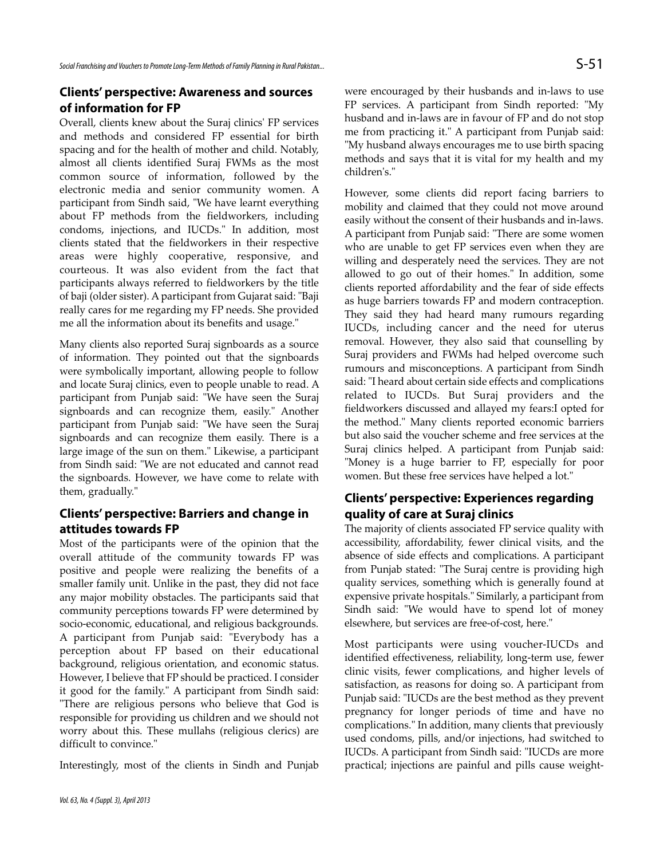### **Clients' perspective: Awareness and sources of information for FP**

Overall, clients knew about the Suraj clinics' FP services and methods and considered FP essential for birth spacing and for the health of mother and child. Notably, almost all clients identified Suraj FWMs as the most common source of information, followed by the electronic media and senior community women. A participant from Sindh said, "We have learnt everything about FP methods from the fieldworkers, including condoms, injections, and IUCDs." In addition, most clients stated that the fieldworkers in their respective areas were highly cooperative, responsive, and courteous. It was also evident from the fact that participants always referred to fieldworkers by the title of baji (older sister). A participant from Gujarat said: "Baji really cares for me regarding my FP needs. She provided me all the information about its benefits and usage."

Many clients also reported Suraj signboards as a source of information. They pointed out that the signboards were symbolically important, allowing people to follow and locate Suraj clinics, even to people unable to read. A participant from Punjab said: "We have seen the Suraj signboards and can recognize them, easily." Another participant from Punjab said: "We have seen the Suraj signboards and can recognize them easily. There is a large image of the sun on them." Likewise, a participant from Sindh said: "We are not educated and cannot read the signboards. However, we have come to relate with them, gradually."

### **Clients' perspective: Barriers and change in attitudes towards FP**

Most of the participants were of the opinion that the overall attitude of the community towards FP was positive and people were realizing the benefits of a smaller family unit. Unlike in the past, they did not face any major mobility obstacles. The participants said that community perceptions towards FP were determined by socio-economic, educational, and religious backgrounds. A participant from Punjab said: "Everybody has a perception about FP based on their educational background, religious orientation, and economic status. However, I believe that FP should be practiced. I consider it good for the family." A participant from Sindh said: "There are religious persons who believe that God is responsible for providing us children and we should not worry about this. These mullahs (religious clerics) are difficult to convince."

Interestingly, most of the clients in Sindh and Punjab

were encouraged by their husbands and in-laws to use FP services. A participant from Sindh reported: "My husband and in-laws are in favour of FP and do not stop me from practicing it." A participant from Punjab said: "My husband always encourages me to use birth spacing methods and says that it is vital for my health and my children's."

However, some clients did report facing barriers to mobility and claimed that they could not move around easily without the consent of their husbands and in-laws. A participant from Punjab said: "There are some women who are unable to get FP services even when they are willing and desperately need the services. They are not allowed to go out of their homes." In addition, some clients reported affordability and the fear of side effects as huge barriers towards FP and modern contraception. They said they had heard many rumours regarding IUCDs, including cancer and the need for uterus removal. However, they also said that counselling by Suraj providers and FWMs had helped overcome such rumours and misconceptions. A participant from Sindh said: "I heard about certain side effects and complications related to IUCDs. But Suraj providers and the fieldworkers discussed and allayed my fears:I opted for the method." Many clients reported economic barriers but also said the voucher scheme and free services at the Suraj clinics helped. A participant from Punjab said: "Money is a huge barrier to FP, especially for poor women. But these free services have helped a lot."

# **Clients' perspective: Experiences regarding quality of care at Suraj clinics**

The majority of clients associated FP service quality with accessibility, affordability, fewer clinical visits, and the absence of side effects and complications. A participant from Punjab stated: "The Suraj centre is providing high quality services, something which is generally found at expensive private hospitals." Similarly, a participant from Sindh said: "We would have to spend lot of money elsewhere, but services are free-of-cost, here."

Most participants were using voucher-IUCDs and identified effectiveness, reliability, long-term use, fewer clinic visits, fewer complications, and higher levels of satisfaction, as reasons for doing so. A participant from Punjab said: "IUCDs are the best method as they prevent pregnancy for longer periods of time and have no complications." In addition, many clients that previously used condoms, pills, and/or injections, had switched to IUCDs. A participant from Sindh said: "IUCDs are more practical; injections are painful and pills cause weight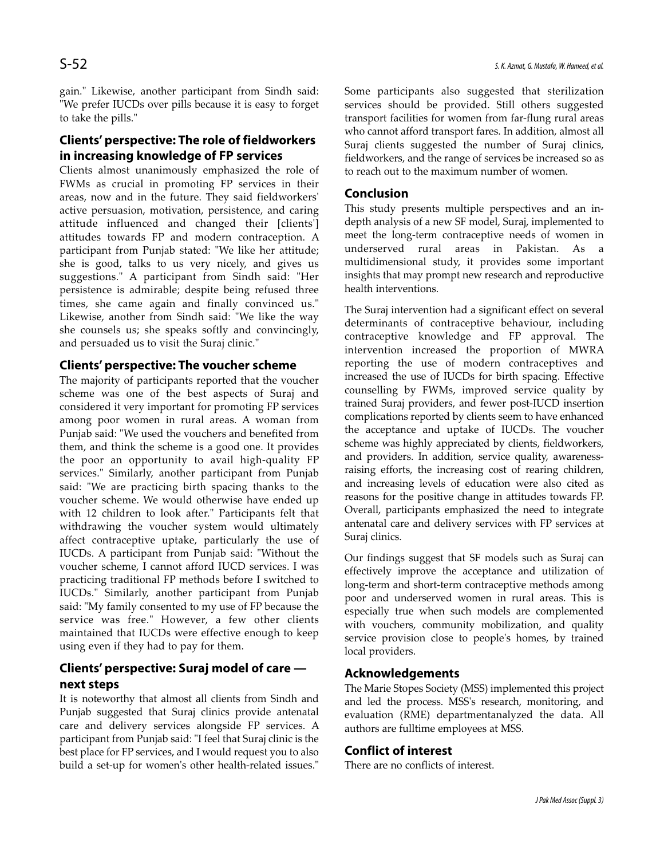gain." Likewise, another participant from Sindh said: "We prefer IUCDs over pills because it is easy to forget to take the pills."

# **Clients' perspective: The role of fieldworkers in increasing knowledge of FP services**

Clients almost unanimously emphasized the role of FWMs as crucial in promoting FP services in their areas, now and in the future. They said fieldworkers' active persuasion, motivation, persistence, and caring attitude influenced and changed their [clients'] attitudes towards FP and modern contraception. A participant from Punjab stated: "We like her attitude; she is good, talks to us very nicely, and gives us suggestions." A participant from Sindh said: "Her persistence is admirable; despite being refused three times, she came again and finally convinced us." Likewise, another from Sindh said: "We like the way she counsels us; she speaks softly and convincingly, and persuaded us to visit the Suraj clinic."

### **Clients' perspective: The voucher scheme**

The majority of participants reported that the voucher scheme was one of the best aspects of Suraj and considered it very important for promoting FP services among poor women in rural areas. A woman from Punjab said: "We used the vouchers and benefited from them, and think the scheme is a good one. It provides the poor an opportunity to avail high-quality FP services." Similarly, another participant from Punjab said: "We are practicing birth spacing thanks to the voucher scheme. We would otherwise have ended up with 12 children to look after." Participants felt that withdrawing the voucher system would ultimately affect contraceptive uptake, particularly the use of IUCDs. A participant from Punjab said: "Without the voucher scheme, I cannot afford IUCD services. I was practicing traditional FP methods before I switched to IUCDs." Similarly, another participant from Punjab said: "My family consented to my use of FP because the service was free." However, a few other clients maintained that IUCDs were effective enough to keep using even if they had to pay for them.

# **Clients' perspective: Suraj model of care next steps**

It is noteworthy that almost all clients from Sindh and Punjab suggested that Suraj clinics provide antenatal care and delivery services alongside FP services. A participant from Punjab said: "I feel that Suraj clinic is the best place for FP services, and I would request you to also build a set-up for women's other health-related issues."

Some participants also suggested that sterilization services should be provided. Still others suggested transport facilities for women from far-flung rural areas who cannot afford transport fares. In addition, almost all Suraj clients suggested the number of Suraj clinics, fieldworkers, and the range of services be increased so as to reach out to the maximum number of women.

#### **Conclusion**

This study presents multiple perspectives and an indepth analysis of a new SF model, Suraj, implemented to meet the long-term contraceptive needs of women in underserved rural areas in Pakistan. As a multidimensional study, it provides some important insights that may prompt new research and reproductive health interventions.

The Suraj intervention had a significant effect on several determinants of contraceptive behaviour, including contraceptive knowledge and FP approval. The intervention increased the proportion of MWRA reporting the use of modern contraceptives and increased the use of IUCDs for birth spacing. Effective counselling by FWMs, improved service quality by trained Suraj providers, and fewer post-IUCD insertion complications reported by clients seem to have enhanced the acceptance and uptake of IUCDs. The voucher scheme was highly appreciated by clients, fieldworkers, and providers. In addition, service quality, awarenessraising efforts, the increasing cost of rearing children, and increasing levels of education were also cited as reasons for the positive change in attitudes towards FP. Overall, participants emphasized the need to integrate antenatal care and delivery services with FP services at Suraj clinics.

Our findings suggest that SF models such as Suraj can effectively improve the acceptance and utilization of long-term and short-term contraceptive methods among poor and underserved women in rural areas. This is especially true when such models are complemented with vouchers, community mobilization, and quality service provision close to people's homes, by trained local providers.

### **Acknowledgements**

The Marie Stopes Society (MSS) implemented this project and led the process. MSS's research, monitoring, and evaluation (RME) departmentanalyzed the data. All authors are fulltime employees at MSS.

#### **Conflict of interest**

There are no conflicts of interest.